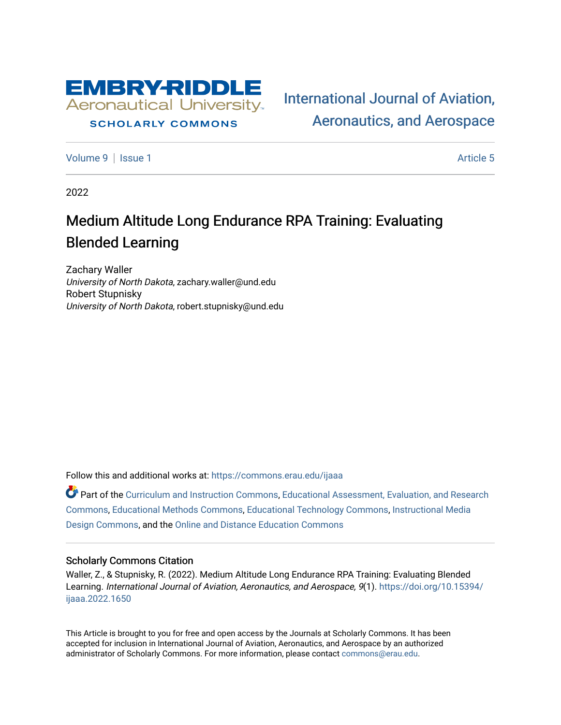

# **SCHOLARLY COMMONS**

[International Journal of Aviation,](https://commons.erau.edu/ijaaa)  [Aeronautics, and Aerospace](https://commons.erau.edu/ijaaa) 

[Volume 9](https://commons.erau.edu/ijaaa/vol9) | [Issue 1](https://commons.erau.edu/ijaaa/vol9/iss1) Article 5

2022

# Medium Altitude Long Endurance RPA Training: Evaluating Blended Learning

Zachary Waller University of North Dakota, zachary.waller@und.edu Robert Stupnisky University of North Dakota, robert.stupnisky@und.edu

Follow this and additional works at: [https://commons.erau.edu/ijaaa](https://commons.erau.edu/ijaaa?utm_source=commons.erau.edu%2Fijaaa%2Fvol9%2Fiss1%2F5&utm_medium=PDF&utm_campaign=PDFCoverPages) 

Part of the [Curriculum and Instruction Commons,](http://network.bepress.com/hgg/discipline/786?utm_source=commons.erau.edu%2Fijaaa%2Fvol9%2Fiss1%2F5&utm_medium=PDF&utm_campaign=PDFCoverPages) [Educational Assessment, Evaluation, and Research](http://network.bepress.com/hgg/discipline/796?utm_source=commons.erau.edu%2Fijaaa%2Fvol9%2Fiss1%2F5&utm_medium=PDF&utm_campaign=PDFCoverPages)  [Commons](http://network.bepress.com/hgg/discipline/796?utm_source=commons.erau.edu%2Fijaaa%2Fvol9%2Fiss1%2F5&utm_medium=PDF&utm_campaign=PDFCoverPages), [Educational Methods Commons](http://network.bepress.com/hgg/discipline/1227?utm_source=commons.erau.edu%2Fijaaa%2Fvol9%2Fiss1%2F5&utm_medium=PDF&utm_campaign=PDFCoverPages), [Educational Technology Commons](http://network.bepress.com/hgg/discipline/1415?utm_source=commons.erau.edu%2Fijaaa%2Fvol9%2Fiss1%2F5&utm_medium=PDF&utm_campaign=PDFCoverPages), [Instructional Media](http://network.bepress.com/hgg/discipline/795?utm_source=commons.erau.edu%2Fijaaa%2Fvol9%2Fiss1%2F5&utm_medium=PDF&utm_campaign=PDFCoverPages)  [Design Commons](http://network.bepress.com/hgg/discipline/795?utm_source=commons.erau.edu%2Fijaaa%2Fvol9%2Fiss1%2F5&utm_medium=PDF&utm_campaign=PDFCoverPages), and the [Online and Distance Education Commons](http://network.bepress.com/hgg/discipline/1296?utm_source=commons.erau.edu%2Fijaaa%2Fvol9%2Fiss1%2F5&utm_medium=PDF&utm_campaign=PDFCoverPages)

#### Scholarly Commons Citation

Waller, Z., & Stupnisky, R. (2022). Medium Altitude Long Endurance RPA Training: Evaluating Blended Learning. International Journal of Aviation, Aeronautics, and Aerospace, 9(1). [https://doi.org/10.15394/](https://doi.org/10.15394/ijaaa.2022.1650) [ijaaa.2022.1650](https://doi.org/10.15394/ijaaa.2022.1650)

This Article is brought to you for free and open access by the Journals at Scholarly Commons. It has been accepted for inclusion in International Journal of Aviation, Aeronautics, and Aerospace by an authorized administrator of Scholarly Commons. For more information, please contact [commons@erau.edu](mailto:commons@erau.edu).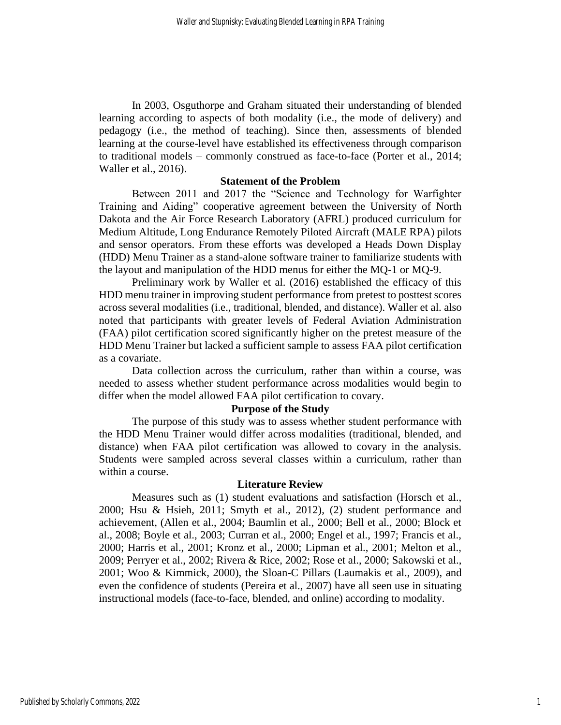In 2003, Osguthorpe and Graham situated their understanding of blended learning according to aspects of both modality (i.e., the mode of delivery) and pedagogy (i.e., the method of teaching). Since then, assessments of blended learning at the course-level have established its effectiveness through comparison to traditional models – commonly construed as face-to-face (Porter et al., 2014; Waller et al., 2016).

### **Statement of the Problem**

Between 2011 and 2017 the "Science and Technology for Warfighter Training and Aiding" cooperative agreement between the University of North Dakota and the Air Force Research Laboratory (AFRL) produced curriculum for Medium Altitude, Long Endurance Remotely Piloted Aircraft (MALE RPA) pilots and sensor operators. From these efforts was developed a Heads Down Display (HDD) Menu Trainer as a stand-alone software trainer to familiarize students with the layout and manipulation of the HDD menus for either the MQ-1 or MQ-9.

Preliminary work by Waller et al. (2016) established the efficacy of this HDD menu trainer in improving student performance from pretest to posttest scores across several modalities (i.e., traditional, blended, and distance). Waller et al. also noted that participants with greater levels of Federal Aviation Administration (FAA) pilot certification scored significantly higher on the pretest measure of the HDD Menu Trainer but lacked a sufficient sample to assess FAA pilot certification as a covariate.

Data collection across the curriculum, rather than within a course, was needed to assess whether student performance across modalities would begin to differ when the model allowed FAA pilot certification to covary.

# **Purpose of the Study**

The purpose of this study was to assess whether student performance with the HDD Menu Trainer would differ across modalities (traditional, blended, and distance) when FAA pilot certification was allowed to covary in the analysis. Students were sampled across several classes within a curriculum, rather than within a course.

#### **Literature Review**

Measures such as (1) student evaluations and satisfaction (Horsch et al., 2000; Hsu & Hsieh, 2011; Smyth et al., 2012), (2) student performance and achievement, (Allen et al., 2004; Baumlin et al., 2000; Bell et al., 2000; Block et al., 2008; Boyle et al., 2003; Curran et al., 2000; Engel et al., 1997; Francis et al., 2000; Harris et al., 2001; Kronz et al., 2000; Lipman et al., 2001; Melton et al., 2009; Perryer et al., 2002; Rivera & Rice, 2002; Rose et al., 2000; Sakowski et al., 2001; Woo & Kimmick, 2000), the Sloan-C Pillars (Laumakis et al., 2009), and even the confidence of students (Pereira et al., 2007) have all seen use in situating instructional models (face-to-face, blended, and online) according to modality.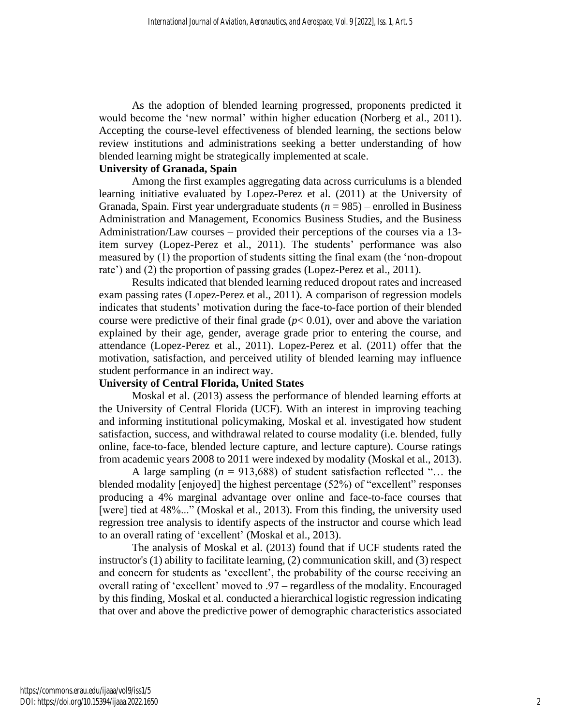As the adoption of blended learning progressed, proponents predicted it would become the 'new normal' within higher education (Norberg et al., 2011). Accepting the course-level effectiveness of blended learning, the sections below review institutions and administrations seeking a better understanding of how blended learning might be strategically implemented at scale.

# **University of Granada, Spain**

Among the first examples aggregating data across curriculums is a blended learning initiative evaluated by Lopez-Perez et al. (2011) at the University of Granada, Spain. First year undergraduate students  $(n = 985)$  – enrolled in Business Administration and Management, Economics Business Studies, and the Business Administration/Law courses – provided their perceptions of the courses via a 13 item survey (Lopez-Perez et al., 2011). The students' performance was also measured by (1) the proportion of students sitting the final exam (the 'non-dropout rate') and (2) the proportion of passing grades (Lopez-Perez et al., 2011).

Results indicated that blended learning reduced dropout rates and increased exam passing rates (Lopez-Perez et al., 2011). A comparison of regression models indicates that students' motivation during the face-to-face portion of their blended course were predictive of their final grade  $(p< 0.01)$ , over and above the variation explained by their age, gender, average grade prior to entering the course, and attendance (Lopez-Perez et al., 2011). Lopez-Perez et al. (2011) offer that the motivation, satisfaction, and perceived utility of blended learning may influence student performance in an indirect way.

# **University of Central Florida, United States**

Moskal et al. (2013) assess the performance of blended learning efforts at the University of Central Florida (UCF). With an interest in improving teaching and informing institutional policymaking, Moskal et al. investigated how student satisfaction, success, and withdrawal related to course modality (i.e. blended, fully online, face-to-face, blended lecture capture, and lecture capture). Course ratings from academic years 2008 to 2011 were indexed by modality (Moskal et al., 2013).

A large sampling (*n* = 913,688) of student satisfaction reflected "… the blended modality [enjoyed] the highest percentage (52%) of "excellent" responses producing a 4% marginal advantage over online and face-to-face courses that [were] tied at 48%..." (Moskal et al., 2013). From this finding, the university used regression tree analysis to identify aspects of the instructor and course which lead to an overall rating of 'excellent' (Moskal et al., 2013).

The analysis of Moskal et al. (2013) found that if UCF students rated the instructor's (1) ability to facilitate learning, (2) communication skill, and (3) respect and concern for students as 'excellent', the probability of the course receiving an overall rating of 'excellent' moved to .97 – regardless of the modality. Encouraged by this finding, Moskal et al. conducted a hierarchical logistic regression indicating that over and above the predictive power of demographic characteristics associated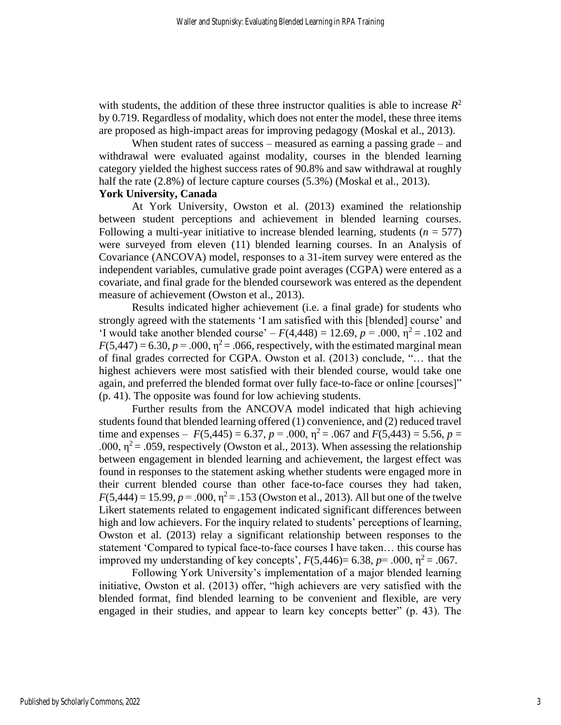with students, the addition of these three instructor qualities is able to increase  $R^2$ by 0.719. Regardless of modality, which does not enter the model, these three items are proposed as high-impact areas for improving pedagogy (Moskal et al., 2013).

When student rates of success – measured as earning a passing grade – and withdrawal were evaluated against modality, courses in the blended learning category yielded the highest success rates of 90.8% and saw withdrawal at roughly half the rate  $(2.8\%)$  of lecture capture courses  $(5.3\%)$  (Moskal et al., 2013).

# **York University, Canada**

At York University, Owston et al. (2013) examined the relationship between student perceptions and achievement in blended learning courses. Following a multi-year initiative to increase blended learning, students  $(n = 577)$ were surveyed from eleven (11) blended learning courses. In an Analysis of Covariance (ANCOVA) model, responses to a 31-item survey were entered as the independent variables, cumulative grade point averages (CGPA) were entered as a covariate, and final grade for the blended coursework was entered as the dependent measure of achievement (Owston et al., 2013).

Results indicated higher achievement (i.e. a final grade) for students who strongly agreed with the statements 'I am satisfied with this [blended] course' and 'I would take another blended course' –  $F(4,448) = 12.69$ ,  $p = .000$ ,  $p^2 = .102$  and  $F(5,447) = 6.30, p = .000, \eta^2 = .066$ , respectively, with the estimated marginal mean of final grades corrected for CGPA. Owston et al. (2013) conclude, "… that the highest achievers were most satisfied with their blended course, would take one again, and preferred the blended format over fully face-to-face or online [courses]" (p. 41). The opposite was found for low achieving students.

Further results from the ANCOVA model indicated that high achieving students found that blended learning offered (1) convenience, and (2) reduced travel time and expenses –  $F(5,445) = 6.37$ ,  $p = .000$ ,  $\eta^2 = .067$  and  $F(5,443) = 5.56$ ,  $p =$ .000,  $\eta^2$  = .059, respectively (Owston et al., 2013). When assessing the relationship between engagement in blended learning and achievement, the largest effect was found in responses to the statement asking whether students were engaged more in their current blended course than other face-to-face courses they had taken,  $F(5,444) = 15.99, p = .000, \eta^2 = .153$  (Owston et al., 2013). All but one of the twelve Likert statements related to engagement indicated significant differences between high and low achievers. For the inquiry related to students' perceptions of learning, Owston et al. (2013) relay a significant relationship between responses to the statement 'Compared to typical face-to-face courses I have taken… this course has improved my understanding of key concepts',  $F(5,446) = 6.38$ ,  $p = .000$ ,  $\eta^2 = .067$ .

Following York University's implementation of a major blended learning initiative, Owston et al. (2013) offer, "high achievers are very satisfied with the blended format, find blended learning to be convenient and flexible, are very engaged in their studies, and appear to learn key concepts better" (p. 43). The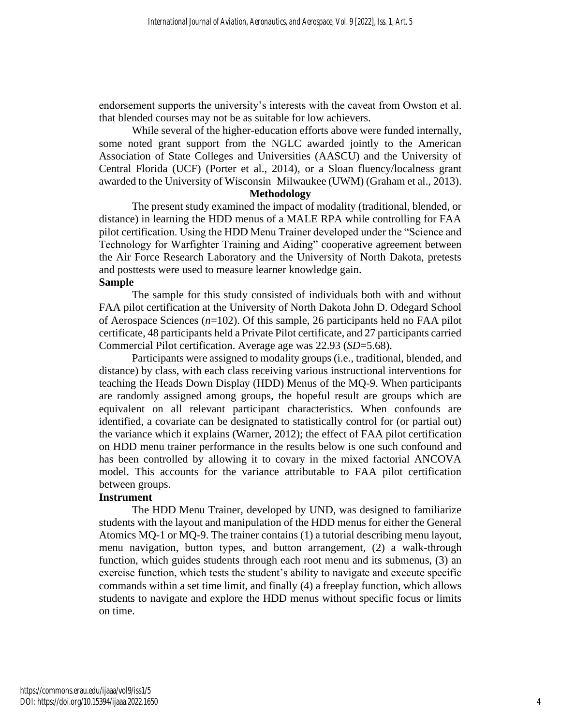endorsement supports the university's interests with the caveat from Owston et al. that blended courses may not be as suitable for low achievers.

While several of the higher-education efforts above were funded internally, some noted grant support from the NGLC awarded jointly to the American Association of State Colleges and Universities (AASCU) and the University of Central Florida (UCF) (Porter et al., 2014), or a Sloan fluency/localness grant awarded to the University of Wisconsin–Milwaukee (UWM) (Graham et al., 2013).

#### **Methodology**

The present study examined the impact of modality (traditional, blended, or distance) in learning the HDD menus of a MALE RPA while controlling for FAA pilot certification. Using the HDD Menu Trainer developed under the "Science and Technology for Warfighter Training and Aiding" cooperative agreement between the Air Force Research Laboratory and the University of North Dakota, pretests and posttests were used to measure learner knowledge gain.

# **Sample**

The sample for this study consisted of individuals both with and without FAA pilot certification at the University of North Dakota John D. Odegard School of Aerospace Sciences (*n*=102). Of this sample, 26 participants held no FAA pilot certificate, 48 participants held a Private Pilot certificate, and 27 participants carried Commercial Pilot certification. Average age was 22.93 (*SD*=5.68).

Participants were assigned to modality groups (i.e., traditional, blended, and distance) by class, with each class receiving various instructional interventions for teaching the Heads Down Display (HDD) Menus of the MQ-9. When participants are randomly assigned among groups, the hopeful result are groups which are equivalent on all relevant participant characteristics. When confounds are identified, a covariate can be designated to statistically control for (or partial out) the variance which it explains (Warner, 2012); the effect of FAA pilot certification on HDD menu trainer performance in the results below is one such confound and has been controlled by allowing it to covary in the mixed factorial ANCOVA model. This accounts for the variance attributable to FAA pilot certification between groups.

## **Instrument**

The HDD Menu Trainer, developed by UND, was designed to familiarize students with the layout and manipulation of the HDD menus for either the General Atomics MQ-1 or MQ-9. The trainer contains (1) a tutorial describing menu layout, menu navigation, button types, and button arrangement, (2) a walk-through function, which guides students through each root menu and its submenus, (3) an exercise function, which tests the student's ability to navigate and execute specific commands within a set time limit, and finally (4) a freeplay function, which allows students to navigate and explore the HDD menus without specific focus or limits on time.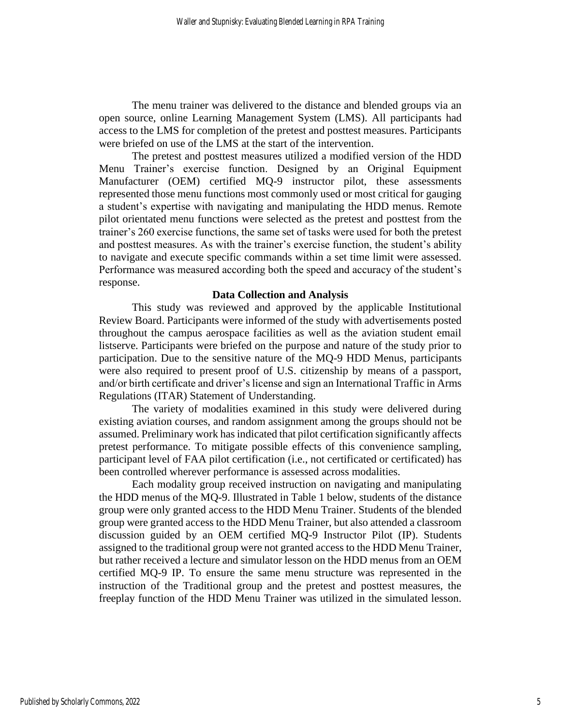The menu trainer was delivered to the distance and blended groups via an open source, online Learning Management System (LMS). All participants had access to the LMS for completion of the pretest and posttest measures. Participants were briefed on use of the LMS at the start of the intervention.

The pretest and posttest measures utilized a modified version of the HDD Menu Trainer's exercise function. Designed by an Original Equipment Manufacturer (OEM) certified MQ-9 instructor pilot, these assessments represented those menu functions most commonly used or most critical for gauging a student's expertise with navigating and manipulating the HDD menus. Remote pilot orientated menu functions were selected as the pretest and posttest from the trainer's 260 exercise functions, the same set of tasks were used for both the pretest and posttest measures. As with the trainer's exercise function, the student's ability to navigate and execute specific commands within a set time limit were assessed. Performance was measured according both the speed and accuracy of the student's response.

#### **Data Collection and Analysis**

This study was reviewed and approved by the applicable Institutional Review Board. Participants were informed of the study with advertisements posted throughout the campus aerospace facilities as well as the aviation student email listserve. Participants were briefed on the purpose and nature of the study prior to participation. Due to the sensitive nature of the MQ-9 HDD Menus, participants were also required to present proof of U.S. citizenship by means of a passport, and/or birth certificate and driver's license and sign an International Traffic in Arms Regulations (ITAR) Statement of Understanding.

The variety of modalities examined in this study were delivered during existing aviation courses, and random assignment among the groups should not be assumed. Preliminary work has indicated that pilot certification significantly affects pretest performance. To mitigate possible effects of this convenience sampling, participant level of FAA pilot certification (i.e., not certificated or certificated) has been controlled wherever performance is assessed across modalities.

Each modality group received instruction on navigating and manipulating the HDD menus of the MQ-9. Illustrated in Table 1 below, students of the distance group were only granted access to the HDD Menu Trainer. Students of the blended group were granted access to the HDD Menu Trainer, but also attended a classroom discussion guided by an OEM certified MQ-9 Instructor Pilot (IP). Students assigned to the traditional group were not granted access to the HDD Menu Trainer, but rather received a lecture and simulator lesson on the HDD menus from an OEM certified MQ-9 IP. To ensure the same menu structure was represented in the instruction of the Traditional group and the pretest and posttest measures, the freeplay function of the HDD Menu Trainer was utilized in the simulated lesson.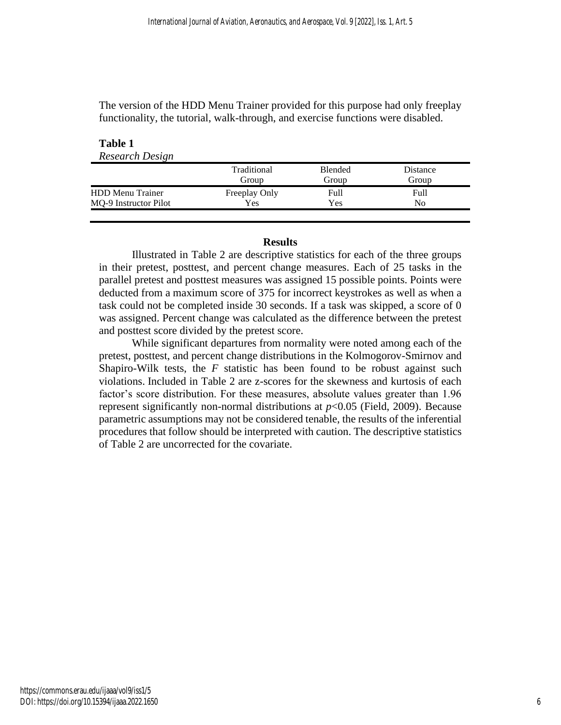The version of the HDD Menu Trainer provided for this purpose had only freeplay functionality, the tutorial, walk-through, and exercise functions were disabled.

#### **Table 1** *Research Design*

|                         | Traditional<br>Group | <b>Blended</b><br>Group | Distance<br>Group |  |
|-------------------------|----------------------|-------------------------|-------------------|--|
| <b>HDD Menu Trainer</b> | Freeplay Only        | Full                    | Full              |  |
| MQ-9 Instructor Pilot   | Yes                  | Yes                     | No                |  |

# **Results**

Illustrated in Table 2 are descriptive statistics for each of the three groups in their pretest, posttest, and percent change measures. Each of 25 tasks in the parallel pretest and posttest measures was assigned 15 possible points. Points were deducted from a maximum score of 375 for incorrect keystrokes as well as when a task could not be completed inside 30 seconds. If a task was skipped, a score of 0 was assigned. Percent change was calculated as the difference between the pretest and posttest score divided by the pretest score.

While significant departures from normality were noted among each of the pretest, posttest, and percent change distributions in the Kolmogorov-Smirnov and Shapiro-Wilk tests, the *F* statistic has been found to be robust against such violations. Included in Table 2 are z-scores for the skewness and kurtosis of each factor's score distribution. For these measures, absolute values greater than 1.96 represent significantly non-normal distributions at *p*<0.05 (Field, 2009). Because parametric assumptions may not be considered tenable, the results of the inferential procedures that follow should be interpreted with caution. The descriptive statistics of Table 2 are uncorrected for the covariate.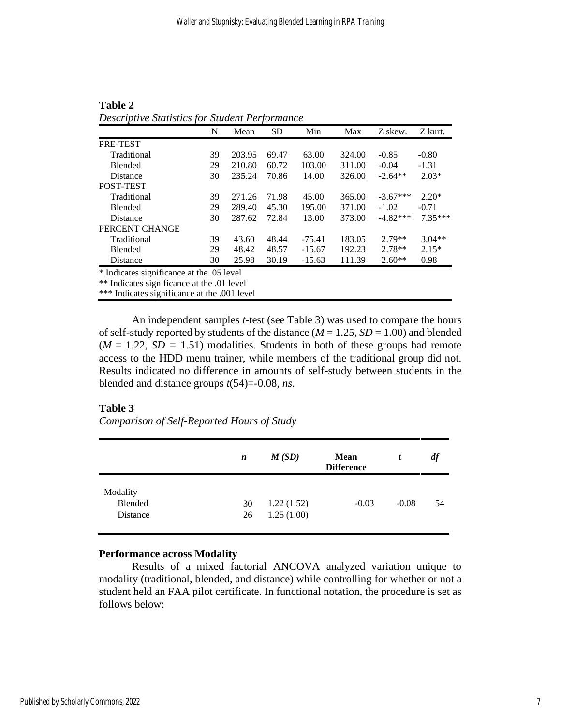|                                                                                                | N  | Mean   | <b>SD</b> | Min      | Max    | Z skew.    | Z kurt.   |
|------------------------------------------------------------------------------------------------|----|--------|-----------|----------|--------|------------|-----------|
| PRE-TEST                                                                                       |    |        |           |          |        |            |           |
| Traditional                                                                                    | 39 | 203.95 | 69.47     | 63.00    | 324.00 | $-0.85$    | $-0.80$   |
| <b>Blended</b>                                                                                 | 29 | 210.80 | 60.72     | 103.00   | 311.00 | $-0.04$    | $-1.31$   |
| <b>Distance</b>                                                                                | 30 | 235.24 | 70.86     | 14.00    | 326.00 | $-2.64**$  | $2.03*$   |
| POST-TEST                                                                                      |    |        |           |          |        |            |           |
| Traditional                                                                                    | 39 | 271.26 | 71.98     | 45.00    | 365.00 | $-3.67***$ | $2.20*$   |
| <b>Blended</b>                                                                                 | 29 | 289.40 | 45.30     | 195.00   | 371.00 | $-1.02$    | $-0.71$   |
| Distance                                                                                       | 30 | 287.62 | 72.84     | 13.00    | 373.00 | $-4.82***$ | $7.35***$ |
| PERCENT CHANGE                                                                                 |    |        |           |          |        |            |           |
| Traditional                                                                                    | 39 | 43.60  | 48.44     | $-75.41$ | 183.05 | $2.79**$   | $3.04**$  |
| <b>Blended</b>                                                                                 | 29 | 48.42  | 48.57     | $-15.67$ | 192.23 | $2.78**$   | $2.15*$   |
| Distance                                                                                       | 30 | 25.98  | 30.19     | $-15.63$ | 111.39 | $2.60**$   | 0.98      |
| * Indicates significance at the .05 level<br>$**$ Indicates significance at the $\Omega$ level |    |        |           |          |        |            |           |

**Table 2** *Descriptive Statistics for Student Performance*

\*\* Indicates significance at the .01 level

\*\*\* Indicates significance at the .001 level

An independent samples *t*-test (see Table 3) was used to compare the hours of self-study reported by students of the distance  $(M = 1.25, SD = 1.00)$  and blended  $(M = 1.22, SD = 1.51)$  modalities. Students in both of these groups had remote access to the HDD menu trainer, while members of the traditional group did not. Results indicated no difference in amounts of self-study between students in the blended and distance groups *t*(54)=-0.08, *ns*.

## **Table 3**

*Comparison of Self-Reported Hours of Study*

|                                 | n        | M(SD)                    | <b>Mean</b><br><b>Difference</b> |         | df |
|---------------------------------|----------|--------------------------|----------------------------------|---------|----|
| Modality<br>Blended<br>Distance | 30<br>26 | 1.22(1.52)<br>1.25(1.00) | $-0.03$                          | $-0.08$ | 54 |

## **Performance across Modality**

Results of a mixed factorial ANCOVA analyzed variation unique to modality (traditional, blended, and distance) while controlling for whether or not a student held an FAA pilot certificate. In functional notation, the procedure is set as follows below: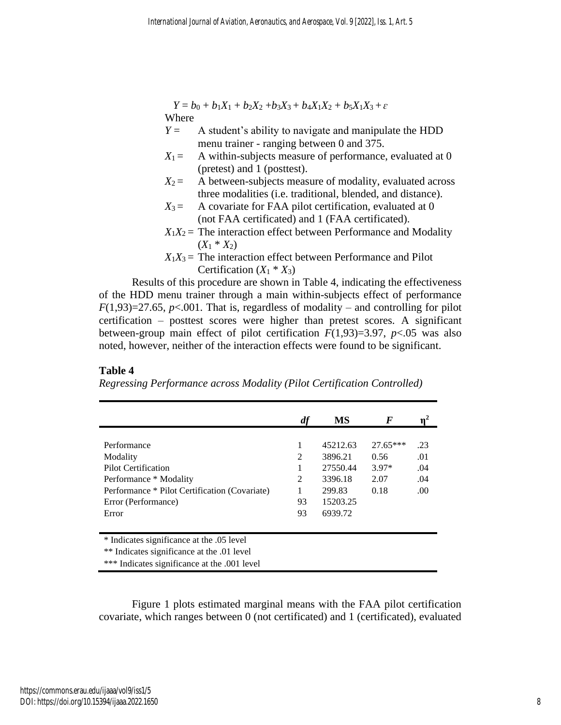$Y = b_0 + b_1X_1 + b_2X_2 + b_3X_3 + b_4X_1X_2 + b_5X_1X_3 + \varepsilon$ Where

- $Y =$  A student's ability to navigate and manipulate the HDD menu trainer - ranging between 0 and 375.
- $X_1 =$  A within-subjects measure of performance, evaluated at 0 (pretest) and 1 (posttest).
- $X_2$  = A between-subjects measure of modality, evaluated across three modalities (i.e. traditional, blended, and distance).
- $X_3$  = A covariate for FAA pilot certification, evaluated at 0 (not FAA certificated) and 1 (FAA certificated).
- $X_1X_2$  = The interaction effect between Performance and Modality  $(X_1 * X_2)$
- $X_1X_3$  = The interaction effect between Performance and Pilot Certification  $(X_1 * X_3)$

Results of this procedure are shown in Table 4, indicating the effectiveness of the HDD menu trainer through a main within-subjects effect of performance  $F(1,93)=27.65$ ,  $p<.001$ . That is, regardless of modality – and controlling for pilot certification – posttest scores were higher than pretest scores. A significant between-group main effect of pilot certification  $F(1,93)=3.97$ ,  $p<.05$  was also noted, however, neither of the interaction effects were found to be significant.

# **Table 4**

*Regressing Performance across Modality (Pilot Certification Controlled)*

|                                               | df | MS       | F        |     |
|-----------------------------------------------|----|----------|----------|-----|
|                                               |    |          |          |     |
| Performance                                   | 1  | 45212.63 | 27.65*** | .23 |
| Modality                                      | 2  | 3896.21  | 0.56     | .01 |
| <b>Pilot Certification</b>                    | 1  | 27550.44 | $3.97*$  | .04 |
| Performance * Modality                        | 2  | 3396.18  | 2.07     | .04 |
| Performance * Pilot Certification (Covariate) | 1  | 299.83   | 0.18     | .00 |
| Error (Performance)                           | 93 | 15203.25 |          |     |
| Error                                         | 93 | 6939.72  |          |     |
|                                               |    |          |          |     |
| * Indicates significance at the .05 level     |    |          |          |     |
| ** Indicates significance at the .01 level    |    |          |          |     |
| *** Indicates significance at the .001 level  |    |          |          |     |

Figure 1 plots estimated marginal means with the FAA pilot certification covariate, which ranges between 0 (not certificated) and 1 (certificated), evaluated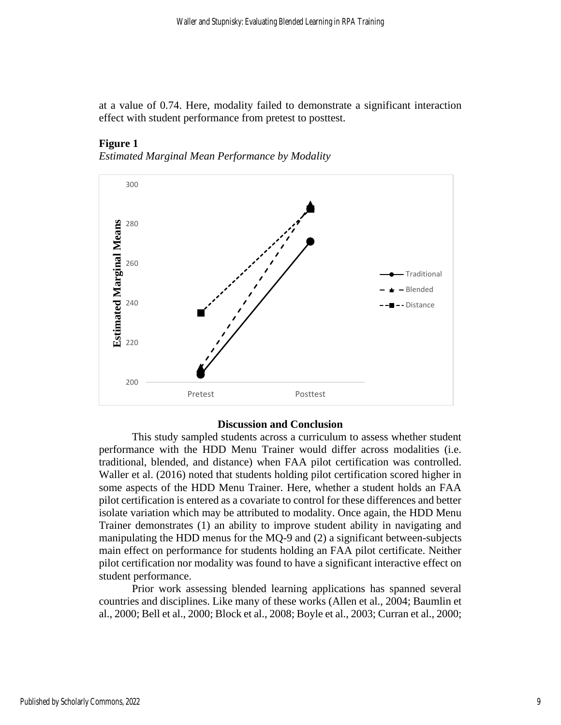at a value of 0.74. Here, modality failed to demonstrate a significant interaction effect with student performance from pretest to posttest.

# **Figure 1**





#### **Discussion and Conclusion**

This study sampled students across a curriculum to assess whether student performance with the HDD Menu Trainer would differ across modalities (i.e. traditional, blended, and distance) when FAA pilot certification was controlled. Waller et al. (2016) noted that students holding pilot certification scored higher in some aspects of the HDD Menu Trainer. Here, whether a student holds an FAA pilot certification is entered as a covariate to control for these differences and better isolate variation which may be attributed to modality. Once again, the HDD Menu Trainer demonstrates (1) an ability to improve student ability in navigating and manipulating the HDD menus for the MQ-9 and (2) a significant between-subjects main effect on performance for students holding an FAA pilot certificate. Neither pilot certification nor modality was found to have a significant interactive effect on student performance.

Prior work assessing blended learning applications has spanned several countries and disciplines. Like many of these works (Allen et al., 2004; Baumlin et al., 2000; Bell et al., 2000; Block et al., 2008; Boyle et al., 2003; Curran et al., 2000;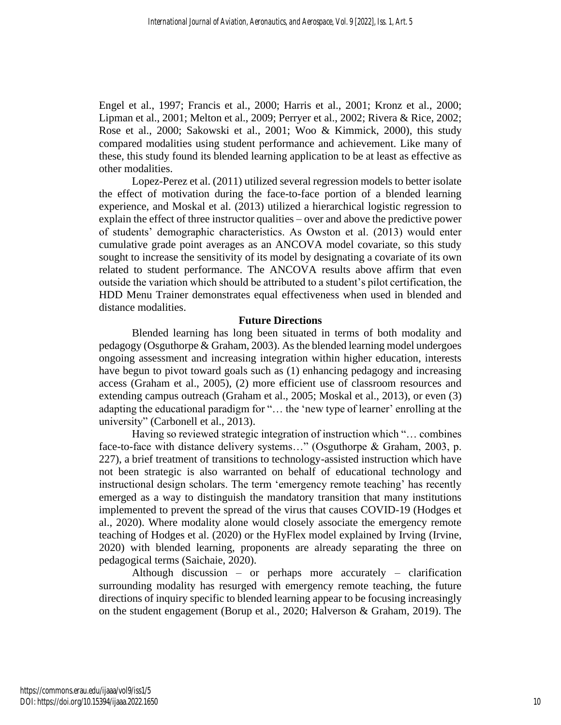Engel et al., 1997; Francis et al., 2000; Harris et al., 2001; Kronz et al., 2000; Lipman et al., 2001; Melton et al., 2009; Perryer et al., 2002; Rivera & Rice, 2002; Rose et al., 2000; Sakowski et al., 2001; Woo & Kimmick, 2000), this study compared modalities using student performance and achievement. Like many of these, this study found its blended learning application to be at least as effective as other modalities.

Lopez-Perez et al. (2011) utilized several regression models to better isolate the effect of motivation during the face-to-face portion of a blended learning experience, and Moskal et al. (2013) utilized a hierarchical logistic regression to explain the effect of three instructor qualities – over and above the predictive power of students' demographic characteristics. As Owston et al. (2013) would enter cumulative grade point averages as an ANCOVA model covariate, so this study sought to increase the sensitivity of its model by designating a covariate of its own related to student performance. The ANCOVA results above affirm that even outside the variation which should be attributed to a student's pilot certification, the HDD Menu Trainer demonstrates equal effectiveness when used in blended and distance modalities.

# **Future Directions**

Blended learning has long been situated in terms of both modality and pedagogy (Osguthorpe & Graham, 2003). As the blended learning model undergoes ongoing assessment and increasing integration within higher education, interests have begun to pivot toward goals such as (1) enhancing pedagogy and increasing access (Graham et al., 2005), (2) more efficient use of classroom resources and extending campus outreach (Graham et al., 2005; Moskal et al., 2013), or even (3) adapting the educational paradigm for "… the 'new type of learner' enrolling at the university" (Carbonell et al., 2013).

Having so reviewed strategic integration of instruction which "… combines face-to-face with distance delivery systems..." (Osguthorpe & Graham, 2003, p. 227), a brief treatment of transitions to technology-assisted instruction which have not been strategic is also warranted on behalf of educational technology and instructional design scholars. The term 'emergency remote teaching' has recently emerged as a way to distinguish the mandatory transition that many institutions implemented to prevent the spread of the virus that causes COVID-19 (Hodges et al., 2020). Where modality alone would closely associate the emergency remote teaching of Hodges et al. (2020) or the HyFlex model explained by Irving (Irvine, 2020) with blended learning, proponents are already separating the three on pedagogical terms (Saichaie, 2020).

Although discussion – or perhaps more accurately – clarification surrounding modality has resurged with emergency remote teaching, the future directions of inquiry specific to blended learning appear to be focusing increasingly on the student engagement (Borup et al., 2020; Halverson & Graham, 2019). The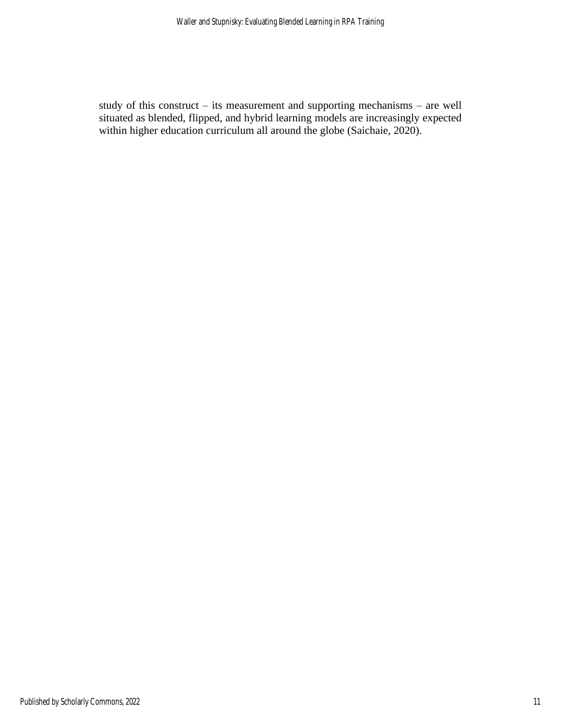study of this construct – its measurement and supporting mechanisms – are well situated as blended, flipped, and hybrid learning models are increasingly expected within higher education curriculum all around the globe (Saichaie, 2020).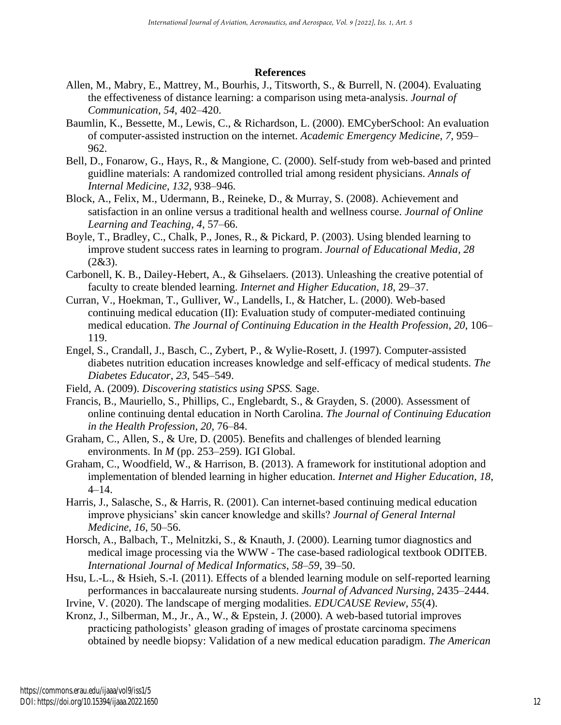# **References**

- Allen, M., Mabry, E., Mattrey, M., Bourhis, J., Titsworth, S., & Burrell, N. (2004). Evaluating the effectiveness of distance learning: a comparison using meta-analysis. *Journal of Communication*, *54*, 402–420.
- Baumlin, K., Bessette, M., Lewis, C., & Richardson, L. (2000). EMCyberSchool: An evaluation of computer-assisted instruction on the internet. *Academic Emergency Medicine*, *7*, 959– 962.
- Bell, D., Fonarow, G., Hays, R., & Mangione, C. (2000). Self-study from web-based and printed guidline materials: A randomized controlled trial among resident physicians. *Annals of Internal Medicine*, *132*, 938–946.
- Block, A., Felix, M., Udermann, B., Reineke, D., & Murray, S. (2008). Achievement and satisfaction in an online versus a traditional health and wellness course. *Journal of Online Learning and Teaching*, *4*, 57–66.
- Boyle, T., Bradley, C., Chalk, P., Jones, R., & Pickard, P. (2003). Using blended learning to improve student success rates in learning to program. *Journal of Educational Media, 28*  $(2&3).$
- Carbonell, K. B., Dailey-Hebert, A., & Gihselaers. (2013). Unleashing the creative potential of faculty to create blended learning. *Internet and Higher Education*, *18*, 29–37.
- Curran, V., Hoekman, T., Gulliver, W., Landells, I., & Hatcher, L. (2000). Web-based continuing medical education (II): Evaluation study of computer-mediated continuing medical education. *The Journal of Continuing Education in the Health Profession*, *20*, 106– 119.
- Engel, S., Crandall, J., Basch, C., Zybert, P., & Wylie-Rosett, J. (1997). Computer-assisted diabetes nutrition education increases knowledge and self-efficacy of medical students. *The Diabetes Educator*, *23*, 545–549.
- Field, A. (2009). *Discovering statistics using SPSS.* Sage.
- Francis, B., Mauriello, S., Phillips, C., Englebardt, S., & Grayden, S. (2000). Assessment of online continuing dental education in North Carolina. *The Journal of Continuing Education in the Health Profession*, *20*, 76–84.
- Graham, C., Allen, S., & Ure, D. (2005). Benefits and challenges of blended learning environments. In *M* (pp. 253–259). IGI Global.
- Graham, C., Woodfield, W., & Harrison, B. (2013). A framework for institutional adoption and implementation of blended learning in higher education. *Internet and Higher Education*, *18*, 4–14.
- Harris, J., Salasche, S., & Harris, R. (2001). Can internet-based continuing medical education improve physicians' skin cancer knowledge and skills? *Journal of General Internal Medicine*, *16*, 50–56.
- Horsch, A., Balbach, T., Melnitzki, S., & Knauth, J. (2000). Learning tumor diagnostics and medical image processing via the WWW - The case-based radiological textbook ODITEB. *International Journal of Medical Informatics*, *58*–*59*, 39–50.
- Hsu, L.-L., & Hsieh, S.-I. (2011). Effects of a blended learning module on self-reported learning performances in baccalaureate nursing students. *Journal of Advanced Nursing*, 2435–2444.
- Irvine, V. (2020). The landscape of merging modalities. *EDUCAUSE Review*, *55*(4).
- Kronz, J., Silberman, M., Jr., A., W., & Epstein, J. (2000). A web-based tutorial improves practicing pathologists' gleason grading of images of prostate carcinoma specimens obtained by needle biopsy: Validation of a new medical education paradigm. *The American*